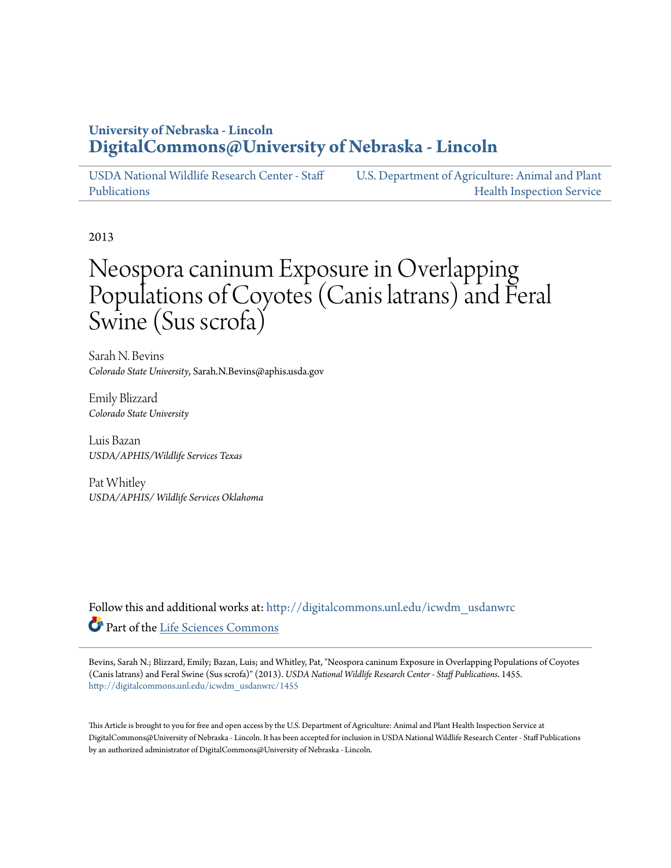## **University of Nebraska - Lincoln [DigitalCommons@University of Nebraska - Lincoln](http://digitalcommons.unl.edu?utm_source=digitalcommons.unl.edu%2Ficwdm_usdanwrc%2F1455&utm_medium=PDF&utm_campaign=PDFCoverPages)**

[USDA National Wildlife Research Center - Staff](http://digitalcommons.unl.edu/icwdm_usdanwrc?utm_source=digitalcommons.unl.edu%2Ficwdm_usdanwrc%2F1455&utm_medium=PDF&utm_campaign=PDFCoverPages) [Publications](http://digitalcommons.unl.edu/icwdm_usdanwrc?utm_source=digitalcommons.unl.edu%2Ficwdm_usdanwrc%2F1455&utm_medium=PDF&utm_campaign=PDFCoverPages) [U.S. Department of Agriculture: Animal and Plant](http://digitalcommons.unl.edu/usdaaphis?utm_source=digitalcommons.unl.edu%2Ficwdm_usdanwrc%2F1455&utm_medium=PDF&utm_campaign=PDFCoverPages) [Health Inspection Service](http://digitalcommons.unl.edu/usdaaphis?utm_source=digitalcommons.unl.edu%2Ficwdm_usdanwrc%2F1455&utm_medium=PDF&utm_campaign=PDFCoverPages)

2013

## Neospora caninum Exposure in Overlapping Populations of Coyotes (Canis latrans) and Feral Swine (Sus scrofa)

Sarah N. Bevins *Colorado State University*, Sarah.N.Bevins@aphis.usda.gov

Emily Blizzard *Colorado State University*

Luis Bazan *USDA/APHIS/Wildlife Services Texas*

Pat Whitley *USDA/APHIS/ Wildlife Services Oklahoma*

Follow this and additional works at: [http://digitalcommons.unl.edu/icwdm\\_usdanwrc](http://digitalcommons.unl.edu/icwdm_usdanwrc?utm_source=digitalcommons.unl.edu%2Ficwdm_usdanwrc%2F1455&utm_medium=PDF&utm_campaign=PDFCoverPages) Part of the [Life Sciences Commons](http://network.bepress.com/hgg/discipline/1016?utm_source=digitalcommons.unl.edu%2Ficwdm_usdanwrc%2F1455&utm_medium=PDF&utm_campaign=PDFCoverPages)

Bevins, Sarah N.; Blizzard, Emily; Bazan, Luis; and Whitley, Pat, "Neospora caninum Exposure in Overlapping Populations of Coyotes (Canis latrans) and Feral Swine (Sus scrofa)" (2013). *USDA National Wildlife Research Center - Staff Publications*. 1455. [http://digitalcommons.unl.edu/icwdm\\_usdanwrc/1455](http://digitalcommons.unl.edu/icwdm_usdanwrc/1455?utm_source=digitalcommons.unl.edu%2Ficwdm_usdanwrc%2F1455&utm_medium=PDF&utm_campaign=PDFCoverPages)

This Article is brought to you for free and open access by the U.S. Department of Agriculture: Animal and Plant Health Inspection Service at DigitalCommons@University of Nebraska - Lincoln. It has been accepted for inclusion in USDA National Wildlife Research Center - Staff Publications by an authorized administrator of DigitalCommons@University of Nebraska - Lincoln.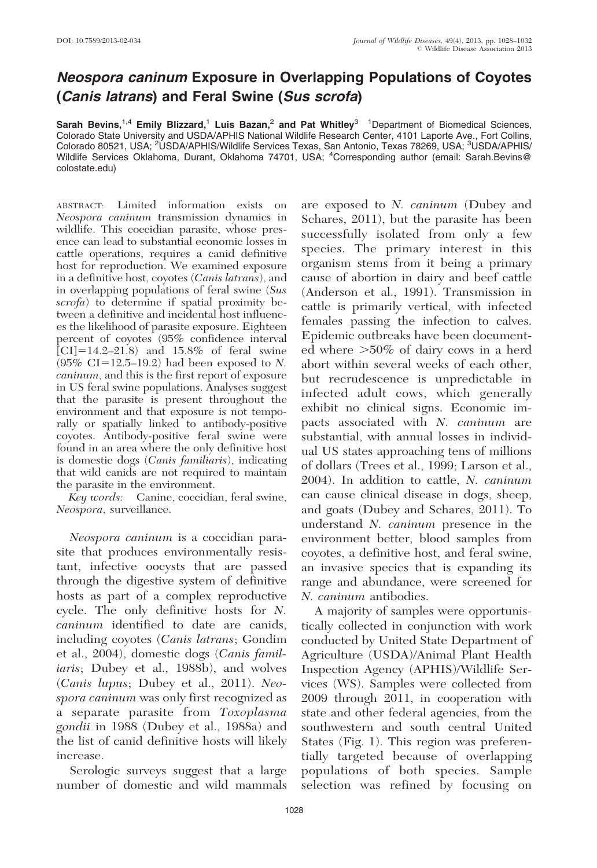## Neospora caninum Exposure in Overlapping Populations of Coyotes (Canis latrans) and Feral Swine (Sus scrofa)

Sarah Bevins,<sup>1,4</sup> Emily Blizzard,<sup>1</sup> Luis Bazan,<sup>2</sup> and Pat Whitley<sup>3</sup> <sup>1</sup>Department of Biomedical Sciences, Colorado State University and USDA/APHIS National Wildlife Research Center, 4101 Laporte Ave., Fort Collins, Colorado 80521, USA; <sup>2</sup>USDA/APHIS/Wildlife Services Texas, San Antonio, Texas 78269, USA; <sup>3</sup>USDA/APHIS/ Wildlife Services Oklahoma, Durant, Oklahoma 74701, USA; <sup>4</sup>Corresponding author (email: Sarah.Bevins@ colostate.edu)

ABSTRACT: Limited information exists on Neospora caninum transmission dynamics in wildlife. This coccidian parasite, whose presence can lead to substantial economic losses in cattle operations, requires a canid definitive host for reproduction. We examined exposure in a definitive host, coyotes (Canis latrans), and in overlapping populations of feral swine (Sus scrofa) to determine if spatial proximity between a definitive and incidental host influences the likelihood of parasite exposure. Eighteen percent of coyotes (95% confidence interval  $\text{[CI]} = 14.2-21.8$  and  $15.8\%$  of feral swine  $(95\% \text{ CI} = 12.5 - 19.2)$  had been exposed to N. caninum, and this is the first report of exposure in US feral swine populations. Analyses suggest that the parasite is present throughout the environment and that exposure is not temporally or spatially linked to antibody-positive coyotes. Antibody-positive feral swine were found in an area where the only definitive host is domestic dogs (Canis familiaris), indicating that wild canids are not required to maintain the parasite in the environment.

Key words: Canine, coccidian, feral swine, Neospora, surveillance.

Neospora caninum is a coccidian parasite that produces environmentally resistant, infective oocysts that are passed through the digestive system of definitive hosts as part of a complex reproductive cycle. The only definitive hosts for N. caninum identified to date are canids, including coyotes (Canis latrans; Gondim et al., 2004), domestic dogs (Canis familiaris; Dubey et al., 1988b), and wolves (Canis lupus; Dubey et al., 2011). Neospora caninum was only first recognized as a separate parasite from Toxoplasma gondii in 1988 (Dubey et al., 1988a) and the list of canid definitive hosts will likely increase.

Serologic surveys suggest that a large number of domestic and wild mammals are exposed to N. caninum (Dubey and Schares, 2011), but the parasite has been successfully isolated from only a few species. The primary interest in this organism stems from it being a primary cause of abortion in dairy and beef cattle (Anderson et al., 1991). Transmission in cattle is primarily vertical, with infected females passing the infection to calves. Epidemic outbreaks have been documented where  $>50\%$  of dairy cows in a herd abort within several weeks of each other, but recrudescence is unpredictable in infected adult cows, which generally exhibit no clinical signs. Economic impacts associated with N. caninum are substantial, with annual losses in individual US states approaching tens of millions of dollars (Trees et al., 1999; Larson et al., 2004). In addition to cattle, N. caninum can cause clinical disease in dogs, sheep, and goats (Dubey and Schares, 2011). To understand N. caninum presence in the environment better, blood samples from coyotes, a definitive host, and feral swine, an invasive species that is expanding its range and abundance, were screened for N. caninum antibodies.

A majority of samples were opportunistically collected in conjunction with work conducted by United State Department of Agriculture (USDA)/Animal Plant Health Inspection Agency (APHIS)/Wildlife Services (WS). Samples were collected from 2009 through 2011, in cooperation with state and other federal agencies, from the southwestern and south central United States (Fig. 1). This region was preferentially targeted because of overlapping populations of both species. Sample selection was refined by focusing on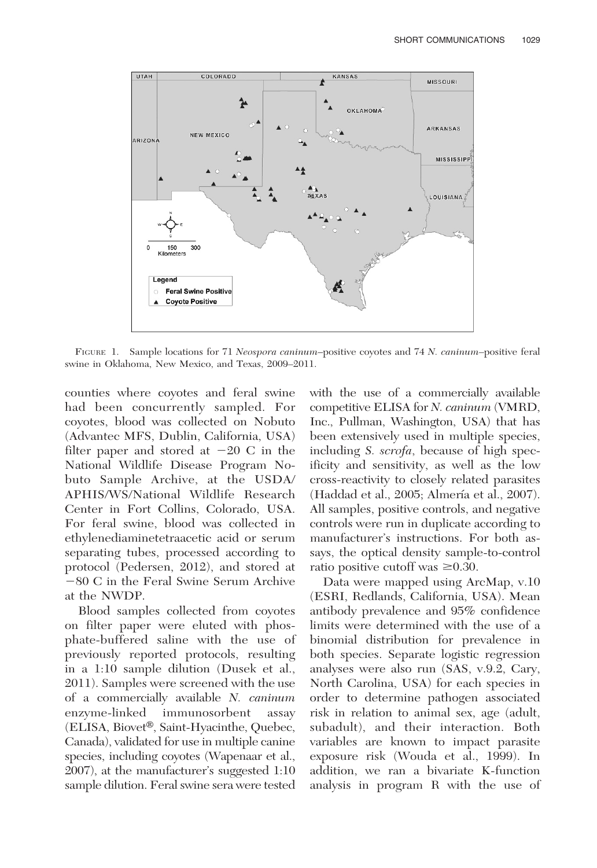

FIGURE 1. Sample locations for 71 Neospora caninum-positive coyotes and 74 N. caninum-positive feral swine in Oklahoma, New Mexico, and Texas, 2009–2011.

counties where coyotes and feral swine had been concurrently sampled. For coyotes, blood was collected on Nobuto (Advantec MFS, Dublin, California, USA) filter paper and stored at  $-20$  C in the National Wildlife Disease Program Nobuto Sample Archive, at the USDA/ APHIS/WS/National Wildlife Research Center in Fort Collins, Colorado, USA. For feral swine, blood was collected in ethylenediaminetetraacetic acid or serum separating tubes, processed according to protocol (Pedersen, 2012), and stored at  $-80$  C in the Feral Swine Serum Archive at the NWDP.

Blood samples collected from coyotes on filter paper were eluted with phosphate-buffered saline with the use of previously reported protocols, resulting in a 1:10 sample dilution (Dusek et al., 2011). Samples were screened with the use of a commercially available N. caninum enzyme-linked immunosorbent assay  $(ELISA, Biovet<sup>®</sup>, Saint-Hyacin the, Quebec,$ Canada), validated for use in multiple canine species, including coyotes (Wapenaar et al., 2007), at the manufacturer's suggested 1:10 sample dilution. Feral swine sera were tested with the use of a commercially available competitive ELISA for N. caninum (VMRD, Inc., Pullman, Washington, USA) that has been extensively used in multiple species, including S. scrofa, because of high specificity and sensitivity, as well as the low cross-reactivity to closely related parasites (Haddad et al., 2005; Almería et al., 2007). All samples, positive controls, and negative controls were run in duplicate according to manufacturer's instructions. For both assays, the optical density sample-to-control ratio positive cutoff was  $\geq 0.30$ .

Data were mapped using ArcMap, v.10 (ESRI, Redlands, California, USA). Mean antibody prevalence and 95% confidence limits were determined with the use of a binomial distribution for prevalence in both species. Separate logistic regression analyses were also run (SAS, v.9.2, Cary, North Carolina, USA) for each species in order to determine pathogen associated risk in relation to animal sex, age (adult, subadult), and their interaction. Both variables are known to impact parasite exposure risk (Wouda et al., 1999). In addition, we ran a bivariate K-function analysis in program R with the use of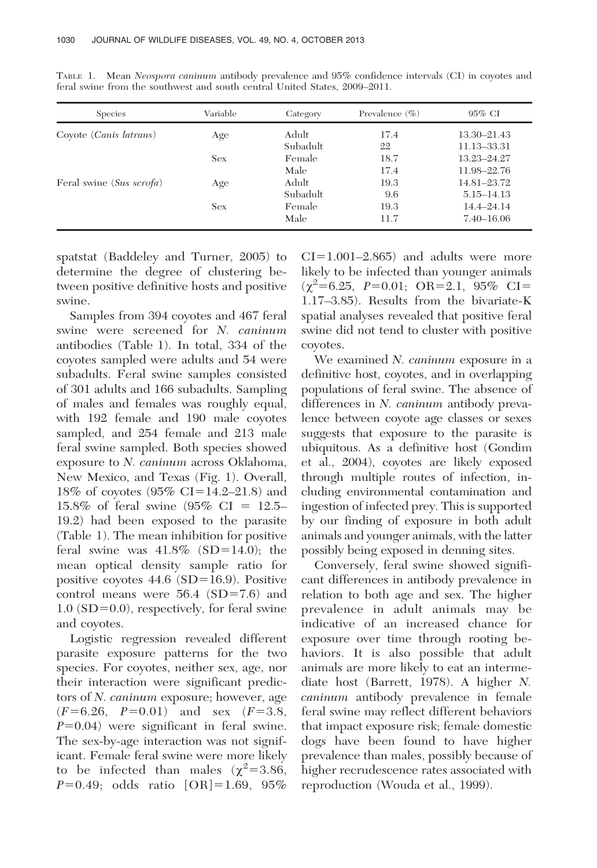| <b>Species</b>                  | Variable | Category | Prevalence $(\% )$ | $95\%$ CI       |
|---------------------------------|----------|----------|--------------------|-----------------|
| Coyote ( <i>Canis latrans</i> ) | Age      | Adult    | 17.4               | $13.30 - 21.43$ |
|                                 |          | Subadult | 22                 | 11.13-33.31     |
|                                 | Sex      | Female   | 18.7               | 13.23-24.27     |
|                                 |          | Male     | 17.4               | 11.98-22.76     |
| Feral swine (Sus scrofa)        | Age      | Adult    | 19.3               | 14.81-23.72     |
|                                 |          | Subadult | 9.6                | 5.15–14.13      |
|                                 | Sex      | Female   | 19.3               | $14.4 - 24.14$  |
|                                 |          | Male     | 11.7               | $7.40 - 16.06$  |

TABLE 1. Mean Neospora caninum antibody prevalence and 95% confidence intervals (CI) in coyotes and feral swine from the southwest and south central United States, 2009–2011.

spatstat (Baddeley and Turner, 2005) to determine the degree of clustering between positive definitive hosts and positive swine.

Samples from 394 coyotes and 467 feral swine were screened for N. caninum antibodies (Table 1). In total, 334 of the coyotes sampled were adults and 54 were subadults. Feral swine samples consisted of 301 adults and 166 subadults. Sampling of males and females was roughly equal, with 192 female and 190 male coyotes sampled, and 254 female and 213 male feral swine sampled. Both species showed exposure to N. caninum across Oklahoma, New Mexico, and Texas (Fig. 1). Overall, 18% of coyotes  $(95\% \text{ CI} = 14.2 - 21.8)$  and 15.8% of feral swine  $(95\% \text{ CI} = 12.5-$ 19.2) had been exposed to the parasite (Table 1). The mean inhibition for positive feral swine was  $41.8\%$  (SD=14.0); the mean optical density sample ratio for positive coyotes  $44.6$  (SD=16.9). Positive control means were  $56.4$  (SD=7.6) and  $1.0$  (SD=0.0), respectively, for feral swine and coyotes.

Logistic regression revealed different parasite exposure patterns for the two species. For coyotes, neither sex, age, nor their interaction were significant predictors of N. caninum exposure; however, age  $(F=6.26, P=0.01)$  and sex  $(F=3.8,$  $P=0.04$ ) were significant in feral swine. The sex-by-age interaction was not significant. Female feral swine were more likely to be infected than males  $(\chi^2=3.86,$  $P=0.49$ ; odds ratio  $[OR]=1.69$ , 95%

 $CI=1.001-2.865$ ) and adults were more likely to be infected than younger animals  $(\chi^2 = 6.25, P = 0.01; OR = 2.1, 95\% CI =$ 1.17–3.85). Results from the bivariate-K spatial analyses revealed that positive feral swine did not tend to cluster with positive coyotes.

We examined *N. caninum* exposure in a definitive host, coyotes, and in overlapping populations of feral swine. The absence of differences in N. *caninum* antibody prevalence between coyote age classes or sexes suggests that exposure to the parasite is ubiquitous. As a definitive host (Gondim et al., 2004), coyotes are likely exposed through multiple routes of infection, including environmental contamination and ingestion of infected prey. This is supported by our finding of exposure in both adult animals and younger animals, with the latter possibly being exposed in denning sites.

Conversely, feral swine showed significant differences in antibody prevalence in relation to both age and sex. The higher prevalence in adult animals may be indicative of an increased chance for exposure over time through rooting behaviors. It is also possible that adult animals are more likely to eat an intermediate host (Barrett, 1978). A higher N. caninum antibody prevalence in female feral swine may reflect different behaviors that impact exposure risk; female domestic dogs have been found to have higher prevalence than males, possibly because of higher recrudescence rates associated with reproduction (Wouda et al., 1999).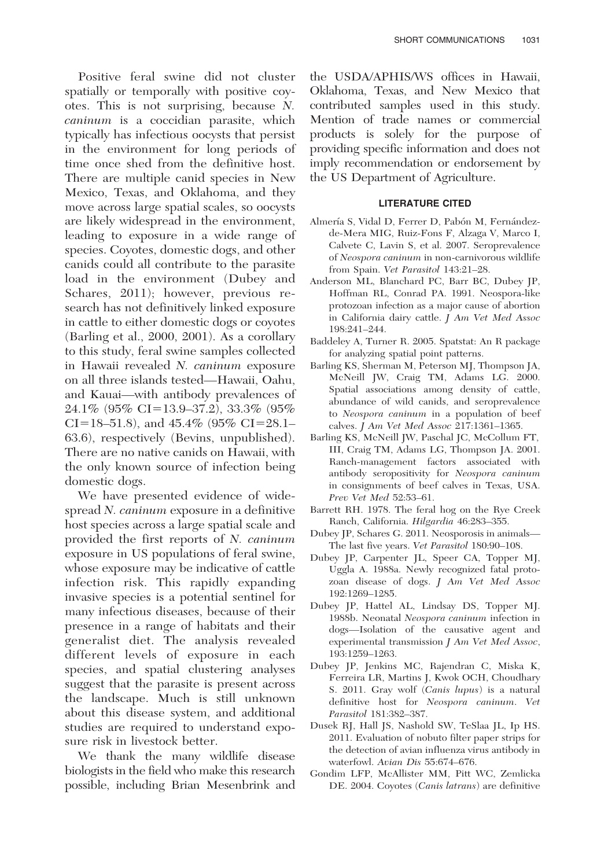Positive feral swine did not cluster spatially or temporally with positive coyotes. This is not surprising, because N. caninum is a coccidian parasite, which typically has infectious oocysts that persist in the environment for long periods of time once shed from the definitive host. There are multiple canid species in New Mexico, Texas, and Oklahoma, and they move across large spatial scales, so oocysts are likely widespread in the environment, leading to exposure in a wide range of species. Coyotes, domestic dogs, and other canids could all contribute to the parasite load in the environment (Dubey and Schares, 2011); however, previous research has not definitively linked exposure in cattle to either domestic dogs or coyotes (Barling et al., 2000, 2001). As a corollary to this study, feral swine samples collected in Hawaii revealed N. caninum exposure on all three islands tested—Hawaii, Oahu, and Kauai—with antibody prevalences of 24.1% (95% CI=13.9–37.2), 33.3% (95% CI=18–51.8), and 45.4% (95% CI=28.1– 63.6), respectively (Bevins, unpublished). There are no native canids on Hawaii, with the only known source of infection being domestic dogs.

We have presented evidence of widespread N. caninum exposure in a definitive host species across a large spatial scale and provided the first reports of N. caninum exposure in US populations of feral swine, whose exposure may be indicative of cattle infection risk. This rapidly expanding invasive species is a potential sentinel for many infectious diseases, because of their presence in a range of habitats and their generalist diet. The analysis revealed different levels of exposure in each species, and spatial clustering analyses suggest that the parasite is present across the landscape. Much is still unknown about this disease system, and additional studies are required to understand exposure risk in livestock better.

We thank the many wildlife disease biologists in the field who make this research possible, including Brian Mesenbrink and the USDA/APHIS/WS offices in Hawaii, Oklahoma, Texas, and New Mexico that contributed samples used in this study. Mention of trade names or commercial products is solely for the purpose of providing specific information and does not imply recommendation or endorsement by the US Department of Agriculture.

## LITERATURE CITED

- Almería S, Vidal D, Ferrer D, Pabón M, Fernándezde-Mera MIG, Ruiz-Fons F, Alzaga V, Marco I, Calvete C, Lavin S, et al. 2007. Seroprevalence of Neospora caninum in non-carnivorous wildlife from Spain. Vet Parasitol 143:21–28.
- Anderson ML, Blanchard PC, Barr BC, Dubey JP, Hoffman RL, Conrad PA. 1991. Neospora-like protozoan infection as a major cause of abortion in California dairy cattle. J Am Vet Med Assoc 198:241–244.
- Baddeley A, Turner R. 2005. Spatstat: An R package for analyzing spatial point patterns.
- Barling KS, Sherman M, Peterson MJ, Thompson JA, McNeill JW, Craig TM, Adams LG. 2000. Spatial associations among density of cattle, abundance of wild canids, and seroprevalence to Neospora caninum in a population of beef calves. J Am Vet Med Assoc 217:1361–1365.
- Barling KS, McNeill JW, Paschal JC, McCollum FT, III, Craig TM, Adams LG, Thompson JA. 2001. Ranch-management factors associated with antibody seropositivity for Neospora caninum in consignments of beef calves in Texas, USA. Prev Vet Med 52:53–61.
- Barrett RH. 1978. The feral hog on the Rye Creek Ranch, California. Hilgardia 46:283–355.
- Dubey JP, Schares G. 2011. Neosporosis in animals— The last five years. Vet Parasitol 180:90–108.
- Dubey JP, Carpenter JL, Speer CA, Topper MJ, Uggla A. 1988a. Newly recognized fatal protozoan disease of dogs. J Am Vet Med Assoc 192:1269–1285.
- Dubey JP, Hattel AL, Lindsay DS, Topper MJ. 1988b. Neonatal Neospora caninum infection in dogs—Isolation of the causative agent and experimental transmission J Am Vet Med Assoc, 193:1259–1263.
- Dubey JP, Jenkins MC, Rajendran C, Miska K, Ferreira LR, Martins J, Kwok OCH, Choudhary S. 2011. Gray wolf (Canis lupus) is a natural definitive host for Neospora caninum. Vet Parasitol 181:382–387.
- Dusek RJ, Hall JS, Nashold SW, TeSlaa JL, Ip HS. 2011. Evaluation of nobuto filter paper strips for the detection of avian influenza virus antibody in waterfowl. Avian Dis 55:674–676.
- Gondim LFP, McAllister MM, Pitt WC, Zemlicka DE. 2004. Coyotes (Canis latrans) are definitive